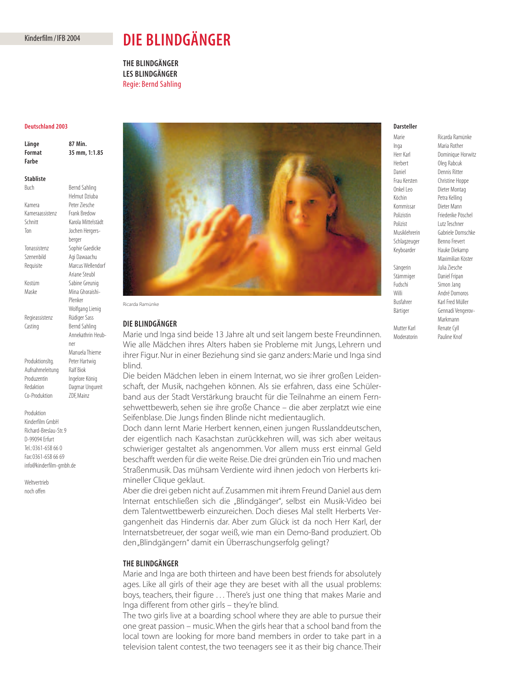## Kinderfilm / IFB 2004

# **DIE BLINDGÄNGER**

**THE BLINDGÄNGER LES BLINDGÄNGER** Regie: Bernd Sahling

## **Deutschland 2003**

| Länge  | 87 Min.       |
|--------|---------------|
| Format | 35 mm, 1:1.85 |
| Farbe  |               |

**Stabliste**

Buch Bernd Sahling Helmut Dziuba Kamera Peter Ziesche<br>Kameraassistenz Frank Bredow Kameraassistenz Schnitt Karola Mittelstädt Ton Jochen Hergersberger Tonassistenz Sophie Gaedicke Szenenbild Agi Dawaachu Requisite Marcus Wellendorf Ariane Steubl Kostüm Sabine Greunig Maske Mina Ghoraishi-Plenker Wolfgang Lienig Regieassistenz Rüdiger Sass Casting **Bernd Sahling** Annekathrin Heubner Manuela Thieme

Produktionsltg. Peter Hartwig Aufnahmeleitung Ralf Biok Produzentin Ingelore König Redaktion Dagmar Ungureit Co-Produktion ZDF, Mainz

Produktion Kinderfilm GmbH Richard-Breslau-Str. 9 D-99094 Erfurt Tel.: 0361-658 66 0 Fax: 0361-658 66 69 info@kinderfilm-gmbh.de

Weltvertrieb noch offen



Ricarda Ramünke

## **DIE BLINDGÄNGER**

Marie und Inga sind beide 13 Jahre alt und seit langem beste Freundinnen. Wie alle Mädchen ihres Alters haben sie Probleme mit Jungs, Lehrern und ihrer Figur. Nur in einer Beziehung sind sie ganz anders: Marie und Inga sind blind.

Die beiden Mädchen leben in einem Internat, wo sie ihrer großen Leidenschaft, der Musik, nachgehen können. Als sie erfahren, dass eine Schülerband aus der Stadt Verstärkung braucht für die Teilnahme an einem Fernsehwettbewerb, sehen sie ihre große Chance – die aber zerplatzt wie eine Seifenblase. Die Jungs finden Blinde nicht medientauglich.

Doch dann lernt Marie Herbert kennen, einen jungen Russlanddeutschen, der eigentlich nach Kasachstan zurückkehren will, was sich aber weitaus schwieriger gestaltet als angenommen. Vor allem muss erst einmal Geld beschafft werden für die weite Reise. Die drei gründen ein Trio und machen Straßenmusik. Das mühsam Verdiente wird ihnen jedoch von Herberts krimineller Clique geklaut.

Aber die drei geben nicht auf. Zusammen mit ihrem Freund Daniel aus dem Internat entschließen sich die "Blindgänger", selbst ein Musik-Video bei dem Talentwettbewerb einzureichen. Doch dieses Mal stellt Herberts Vergangenheit das Hindernis dar. Aber zum Glück ist da noch Herr Karl, der Internatsbetreuer, der sogar weiß, wie man ein Demo-Band produziert. Ob den "Blindgängern" damit ein Überraschungserfolg gelingt?

# **THE BLINDGÄNGER**

Marie and Inga are both thirteen and have been best friends for absolutely ages. Like all girls of their age they are beset with all the usual problems: boys, teachers, their figure . . . There's just one thing that makes Marie and Inga different from other girls – they're blind.

The two girls live at a boarding school where they are able to pursue their one great passion – music.When the girls hear that a school band from the local town are looking for more band members in order to take part in a television talent contest, the two teenagers see it as their big chance. Their

## **Darsteller**

Marie Ricarda Ramünke

Inga Maria Rother Daniel Dennis Ritter Köchin Petra Kelling Kommissar Dieter Mann Polizist Lutz Teschner

Herr Karl **Dominique Horwitz**<br>
Herbert **Dea** Rabcuk Oleg Rabcuk Frau Kersten Christine Hoppe<br>
Onkel Leo Dieter Montag Dieter Montag Polizistin Friederike Pöschel Musiklehrerin Gabriele Domschke Schlagzeuger Benno Frevert Keyboarder Hauke Diekamp Maximilian Köster Sängerin Julia Ziesche Stämmiger Daniel Fripan Fudschi Simon Jang Willi **André Domoros** Busfahrer Karl Fred Müller Bärtiger Gennadi Vengerov-Markmann Mutter Karl Renate Cyll Moderatorin Pauline Knof